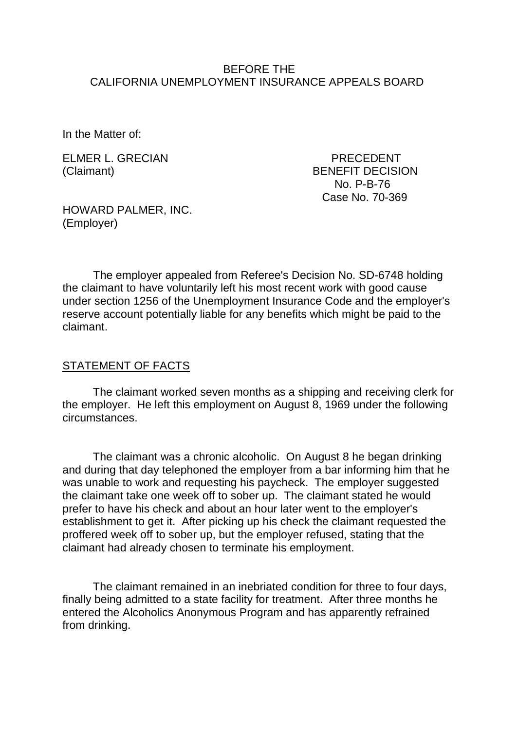#### BEFORE THE CALIFORNIA UNEMPLOYMENT INSURANCE APPEALS BOARD

In the Matter of:

ELMER L. GRECIAN PRECEDENT

(Claimant) BENEFIT DECISION No. P-B-76 Case No. 70-369

HOWARD PALMER, INC. (Employer)

The employer appealed from Referee's Decision No. SD-6748 holding the claimant to have voluntarily left his most recent work with good cause under section 1256 of the Unemployment Insurance Code and the employer's reserve account potentially liable for any benefits which might be paid to the claimant.

#### STATEMENT OF FACTS

The claimant worked seven months as a shipping and receiving clerk for the employer. He left this employment on August 8, 1969 under the following circumstances.

The claimant was a chronic alcoholic. On August 8 he began drinking and during that day telephoned the employer from a bar informing him that he was unable to work and requesting his paycheck. The employer suggested the claimant take one week off to sober up. The claimant stated he would prefer to have his check and about an hour later went to the employer's establishment to get it. After picking up his check the claimant requested the proffered week off to sober up, but the employer refused, stating that the claimant had already chosen to terminate his employment.

The claimant remained in an inebriated condition for three to four days, finally being admitted to a state facility for treatment. After three months he entered the Alcoholics Anonymous Program and has apparently refrained from drinking.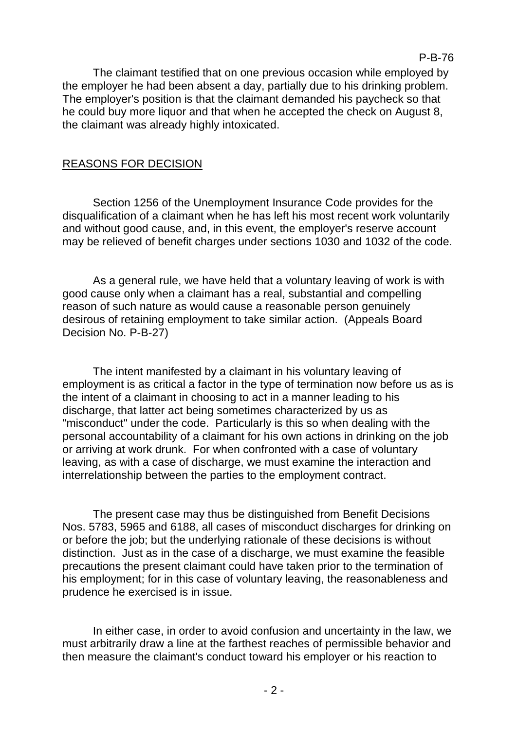The claimant testified that on one previous occasion while employed by the employer he had been absent a day, partially due to his drinking problem. The employer's position is that the claimant demanded his paycheck so that he could buy more liquor and that when he accepted the check on August 8, the claimant was already highly intoxicated.

### REASONS FOR DECISION

Section 1256 of the Unemployment Insurance Code provides for the disqualification of a claimant when he has left his most recent work voluntarily and without good cause, and, in this event, the employer's reserve account may be relieved of benefit charges under sections 1030 and 1032 of the code.

As a general rule, we have held that a voluntary leaving of work is with good cause only when a claimant has a real, substantial and compelling reason of such nature as would cause a reasonable person genuinely desirous of retaining employment to take similar action. (Appeals Board Decision No. P-B-27)

The intent manifested by a claimant in his voluntary leaving of employment is as critical a factor in the type of termination now before us as is the intent of a claimant in choosing to act in a manner leading to his discharge, that latter act being sometimes characterized by us as "misconduct" under the code. Particularly is this so when dealing with the personal accountability of a claimant for his own actions in drinking on the job or arriving at work drunk. For when confronted with a case of voluntary leaving, as with a case of discharge, we must examine the interaction and interrelationship between the parties to the employment contract.

The present case may thus be distinguished from Benefit Decisions Nos. 5783, 5965 and 6188, all cases of misconduct discharges for drinking on or before the job; but the underlying rationale of these decisions is without distinction. Just as in the case of a discharge, we must examine the feasible precautions the present claimant could have taken prior to the termination of his employment; for in this case of voluntary leaving, the reasonableness and prudence he exercised is in issue.

In either case, in order to avoid confusion and uncertainty in the law, we must arbitrarily draw a line at the farthest reaches of permissible behavior and then measure the claimant's conduct toward his employer or his reaction to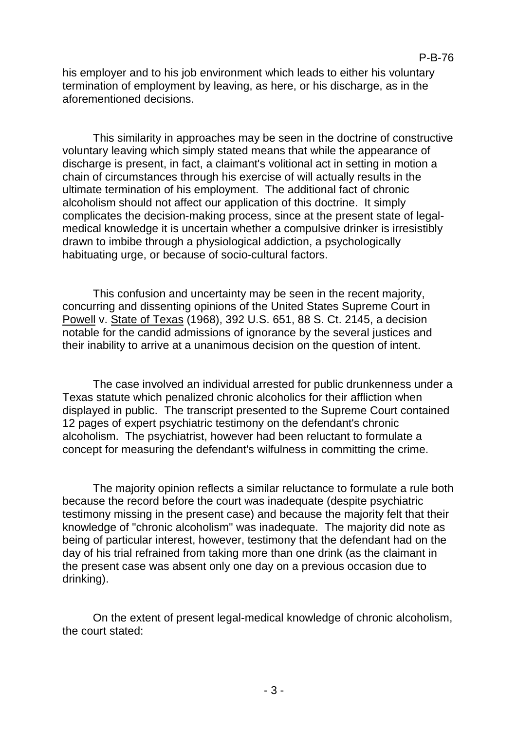his employer and to his job environment which leads to either his voluntary termination of employment by leaving, as here, or his discharge, as in the aforementioned decisions.

This similarity in approaches may be seen in the doctrine of constructive voluntary leaving which simply stated means that while the appearance of discharge is present, in fact, a claimant's volitional act in setting in motion a chain of circumstances through his exercise of will actually results in the ultimate termination of his employment. The additional fact of chronic alcoholism should not affect our application of this doctrine. It simply complicates the decision-making process, since at the present state of legalmedical knowledge it is uncertain whether a compulsive drinker is irresistibly drawn to imbibe through a physiological addiction, a psychologically habituating urge, or because of socio-cultural factors.

This confusion and uncertainty may be seen in the recent majority, concurring and dissenting opinions of the United States Supreme Court in Powell v. State of Texas (1968), 392 U.S. 651, 88 S. Ct. 2145, a decision notable for the candid admissions of ignorance by the several justices and their inability to arrive at a unanimous decision on the question of intent.

The case involved an individual arrested for public drunkenness under a Texas statute which penalized chronic alcoholics for their affliction when displayed in public. The transcript presented to the Supreme Court contained 12 pages of expert psychiatric testimony on the defendant's chronic alcoholism. The psychiatrist, however had been reluctant to formulate a concept for measuring the defendant's wilfulness in committing the crime.

The majority opinion reflects a similar reluctance to formulate a rule both because the record before the court was inadequate (despite psychiatric testimony missing in the present case) and because the majority felt that their knowledge of "chronic alcoholism" was inadequate. The majority did note as being of particular interest, however, testimony that the defendant had on the day of his trial refrained from taking more than one drink (as the claimant in the present case was absent only one day on a previous occasion due to drinking).

On the extent of present legal-medical knowledge of chronic alcoholism, the court stated: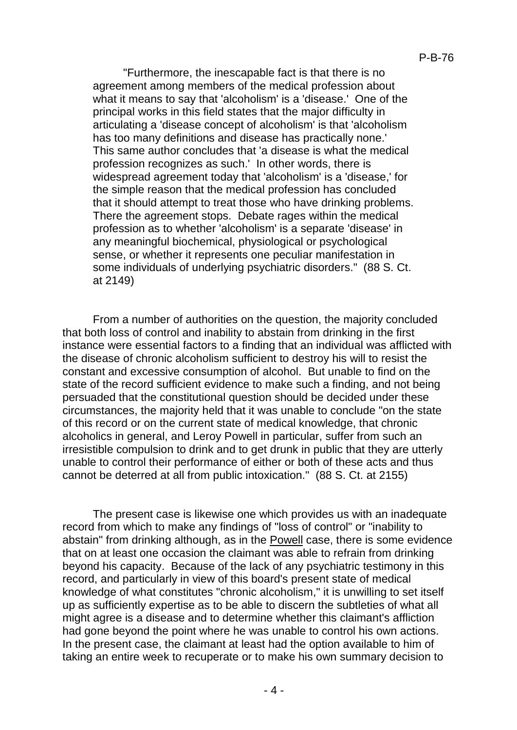"Furthermore, the inescapable fact is that there is no agreement among members of the medical profession about what it means to say that 'alcoholism' is a 'disease.' One of the principal works in this field states that the major difficulty in articulating a 'disease concept of alcoholism' is that 'alcoholism has too many definitions and disease has practically none.' This same author concludes that 'a disease is what the medical profession recognizes as such.' In other words, there is widespread agreement today that 'alcoholism' is a 'disease,' for the simple reason that the medical profession has concluded that it should attempt to treat those who have drinking problems. There the agreement stops. Debate rages within the medical profession as to whether 'alcoholism' is a separate 'disease' in any meaningful biochemical, physiological or psychological sense, or whether it represents one peculiar manifestation in some individuals of underlying psychiatric disorders." (88 S. Ct. at 2149)

From a number of authorities on the question, the majority concluded that both loss of control and inability to abstain from drinking in the first instance were essential factors to a finding that an individual was afflicted with the disease of chronic alcoholism sufficient to destroy his will to resist the constant and excessive consumption of alcohol. But unable to find on the state of the record sufficient evidence to make such a finding, and not being persuaded that the constitutional question should be decided under these circumstances, the majority held that it was unable to conclude "on the state of this record or on the current state of medical knowledge, that chronic alcoholics in general, and Leroy Powell in particular, suffer from such an irresistible compulsion to drink and to get drunk in public that they are utterly unable to control their performance of either or both of these acts and thus cannot be deterred at all from public intoxication." (88 S. Ct. at 2155)

The present case is likewise one which provides us with an inadequate record from which to make any findings of "loss of control" or "inability to abstain" from drinking although, as in the Powell case, there is some evidence that on at least one occasion the claimant was able to refrain from drinking beyond his capacity. Because of the lack of any psychiatric testimony in this record, and particularly in view of this board's present state of medical knowledge of what constitutes "chronic alcoholism," it is unwilling to set itself up as sufficiently expertise as to be able to discern the subtleties of what all might agree is a disease and to determine whether this claimant's affliction had gone beyond the point where he was unable to control his own actions. In the present case, the claimant at least had the option available to him of taking an entire week to recuperate or to make his own summary decision to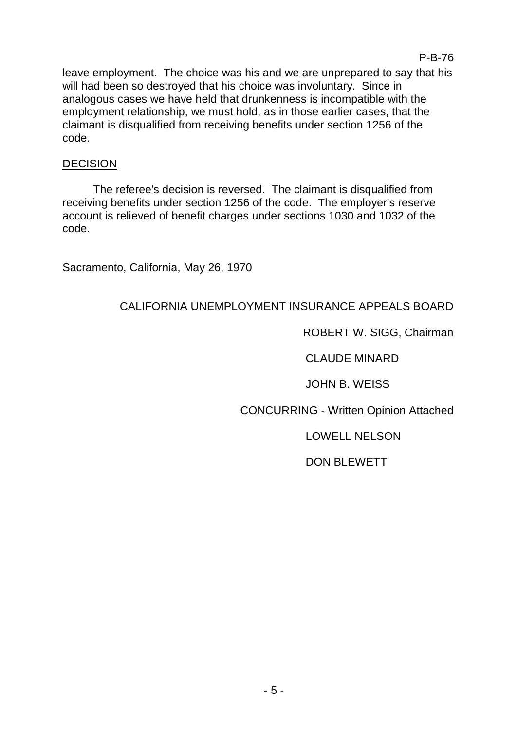leave employment. The choice was his and we are unprepared to say that his will had been so destroyed that his choice was involuntary. Since in analogous cases we have held that drunkenness is incompatible with the employment relationship, we must hold, as in those earlier cases, that the claimant is disqualified from receiving benefits under section 1256 of the code.

### DECISION

The referee's decision is reversed. The claimant is disqualified from receiving benefits under section 1256 of the code. The employer's reserve account is relieved of benefit charges under sections 1030 and 1032 of the code.

Sacramento, California, May 26, 1970

# CALIFORNIA UNEMPLOYMENT INSURANCE APPEALS BOARD

# ROBERT W. SIGG, Chairman

P-B-76

CLAUDE MINARD

JOHN B. WEISS

CONCURRING - Written Opinion Attached

LOWELL NELSON

DON BLEWETT